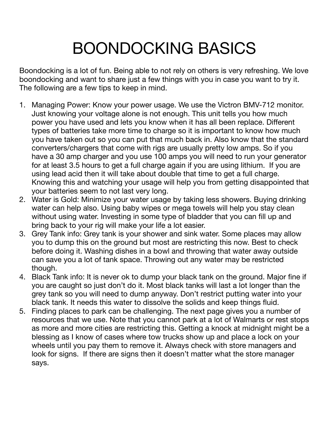## BOONDOCKING BASICS

Boondocking is a lot of fun. Being able to not rely on others is very refreshing. We love boondocking and want to share just a few things with you in case you want to try it. The following are a few tips to keep in mind.

- 1. Managing Power: Know your power usage. We use the Victron BMV-712 monitor. Just knowing your voltage alone is not enough. This unit tells you how much power you have used and lets you know when it has all been replace. Different types of batteries take more time to charge so it is important to know how much you have taken out so you can put that much back in. Also know that the standard converters/chargers that come with rigs are usually pretty low amps. So if you have a 30 amp charger and you use 100 amps you will need to run your generator for at least 3.5 hours to get a full charge again if you are using lithium. If you are using lead acid then it will take about double that time to get a full charge. Knowing this and watching your usage will help you from getting disappointed that your batteries seem to not last very long.
- 2. Water is Gold: Minimize your water usage by taking less showers. Buying drinking water can help also. Using baby wipes or mega towels will help you stay clean without using water. Investing in some type of bladder that you can fill up and bring back to your rig will make your life a lot easier.
- 3. Grey Tank info: Grey tank is your shower and sink water. Some places may allow you to dump this on the ground but most are restricting this now. Best to check before doing it. Washing dishes in a bowl and throwing that water away outside can save you a lot of tank space. Throwing out any water may be restricted though.
- 4. Black Tank info: It is never ok to dump your black tank on the ground. Major fine if you are caught so just don't do it. Most black tanks will last a lot longer than the grey tank so you will need to dump anyway. Don't restrict putting water into your black tank. It needs this water to dissolve the solids and keep things fluid.
- 5. Finding places to park can be challenging. The next page gives you a number of resources that we use. Note that you cannot park at a lot of Walmarts or rest stops as more and more cities are restricting this. Getting a knock at midnight might be a blessing as I know of cases where tow trucks show up and place a lock on your wheels until you pay them to remove it. Always check with store managers and look for signs. If there are signs then it doesn't matter what the store manager says.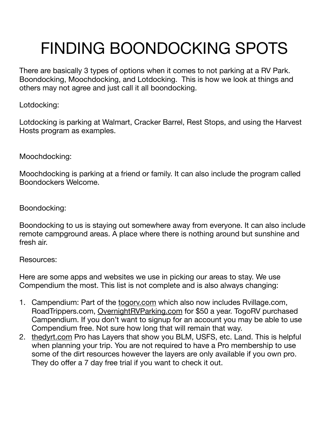## FINDING BOONDOCKING SPOTS

There are basically 3 types of options when it comes to not parking at a RV Park. Boondocking, Moochdocking, and Lotdocking. This is how we look at things and others may not agree and just call it all boondocking.

Lotdocking:

Lotdocking is parking at Walmart, Cracker Barrel, Rest Stops, and using the Harvest Hosts program as examples.

Moochdocking:

Moochdocking is parking at a friend or family. It can also include the program called Boondockers Welcome.

Boondocking:

Boondocking to us is staying out somewhere away from everyone. It can also include remote campground areas. A place where there is nothing around but sunshine and fresh air.

Resources:

Here are some apps and websites we use in picking our areas to stay. We use Compendium the most. This list is not complete and is also always changing:

- 1. Campendium: Part of the togory.com which also now includes Rvillage.com, RoadTrippers.com, [OvernightRVParking.com](http://OvernightRVParking.com) for \$50 a year. TogoRV purchased Campendium. If you don't want to signup for an account you may be able to use Compendium free. Not sure how long that will remain that way.
- 2. [thedyrt.com](http://thedyrt.com) Pro has Layers that show you BLM, USFS, etc. Land. This is helpful when planning your trip. You are not required to have a Pro membership to use some of the dirt resources however the layers are only available if you own pro. They do offer a 7 day free trial if you want to check it out.